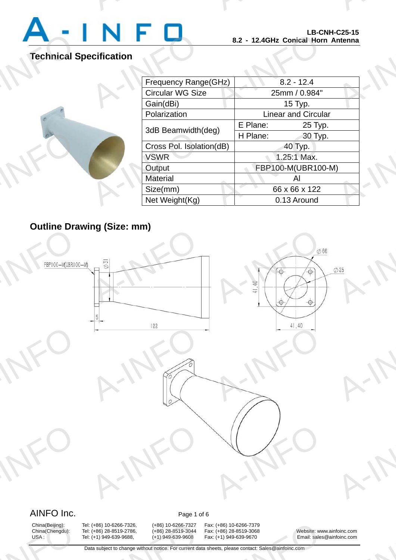

A-INFO

A-INFORMATION CONTINUES.

# **Technical Specification**

|                   |                          | LD-UNN-UZJ-13<br>8.2 - 12.4GHz Conical Horn Antenna |  |
|-------------------|--------------------------|-----------------------------------------------------|--|
| <b>cification</b> |                          |                                                     |  |
|                   | Frequency Range(GHz)     | $8.2 - 12.4$                                        |  |
|                   | <b>Circular WG Size</b>  | 25mm / 0.984"                                       |  |
|                   | Gain(dBi)                | 15 Typ.                                             |  |
|                   | Polarization             | <b>Linear and Circular</b>                          |  |
|                   | 3dB Beamwidth(deg)       | E Plane:<br>25 Typ.                                 |  |
|                   |                          | H Plane:<br>30 Typ.                                 |  |
|                   | Cross Pol. Isolation(dB) | 40 Typ.                                             |  |
|                   | <b>VSWR</b>              | 1.25:1 Max.                                         |  |
|                   | Output                   | FBP100-M(UBR100-M)                                  |  |
|                   | <b>Material</b>          | Al                                                  |  |
|                   | Size(mm)                 | 66 x 66 x 122                                       |  |
|                   | Net Weight(Kg)           | 0.13 Around                                         |  |
|                   |                          |                                                     |  |

# **Outline Drawing (Size: mm)**

A-INFO



# AINFO Inc. Page 1 of 6

China(Beijing):<br>China(Chengdu):<br>USA :

(+86) 10-6266-7326, (+86) 10-6266-7327<br>
(+86) 28-8519-2786, (+86) 28-8519-3044<br>
(+1) 949-639-9688, (+1) 949-639-9608<br>
ta subject to change without notice. For current da

China(Beijing): Tel: (+86) 10-6266-7326, (+86) 10-6266-7327 Fax: (+86) 10-6266-7379<br>China(Chengdu): Tel: (+86) 28-8519-2786, (+86) 28-8519-3044 Fax: (+86) 28-8519-3068 :: (+86) 10-6266-7379<br>
:: (+86) 28-8519-3068<br>
:: (+1) 949-639-9670 Email: sales<br>
eets, please contact: Sales@ainfoinc.com

China(Chengdu): Tel: (+86) 28-8519-2786, (+86) 28-8519-3044 Fax: (+86) 28-8519-3068 Website: www.ainfoinc.com USA : Tel: (+1) 949-639-9688, (+1) 949-639-9608 Fax: (+1) 949-639-9670 Email: sales@ainfoinc.com Foinc.com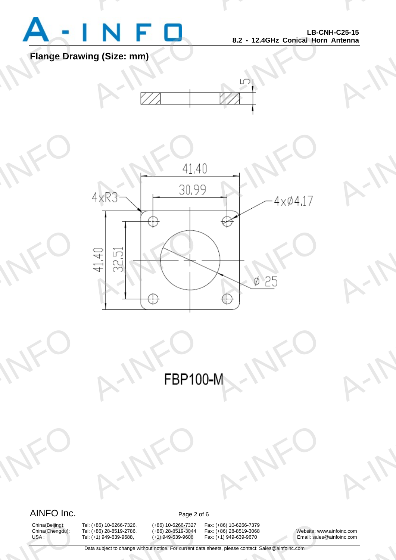

A-INFO

A-INFO

A-INFO

A-INFO

A-INFO

A-INFORMATION CONTINUES.

## **Flange Drawing (Size: mm)**





A-INFO M-INFO

## AINFO Inc. Page 2 of 6

A-INFO

A-INFO

China(Beijing):<br>China(Chengdu):<br>USA :

(+86) 10-6266-7326, (+86) 10-6266-7327<br>
(+86) 28-8519-2786, (+86) 28-8519-3044<br>
(+1) 949-639-9688, (+1) 949-639-9608<br>
ta subject to change without notice. For current da

A-IFO

China(Beijing): Tel: (+86) 10-6266-7326, (+86) 10-6266-7327 Fax: (+86) 10-6266-7379<br>China(Chengdu): Tel: (+86) 28-8519-2786, (+86) 28-8519-3044 Fax: (+86) 28-8519-3068 :: (+86) 10-6266-7379<br>
:: (+86) 28-8519-3068<br>
:: (+1) 949-639-9670 Email: sales<br>
eets, please contact: Sales@ainfoinc.com

A-IFO

Tel: (+86) 28-8519-2786, (+86) 28-8519-3044 Fax: (+86) 28-8519-3068 Website: www.ainfoinc.com<br>
Tel: (+1) 949-639-9608 Fax: (+1) 949-639-9670 Email: sales@ainfoinc.com USA : Tel: (+1) 949-639-9688, (+1) 949-639-9608 Fax: (+1) 949-639-9670 Email: sales@ainfoinc.com Foinc.com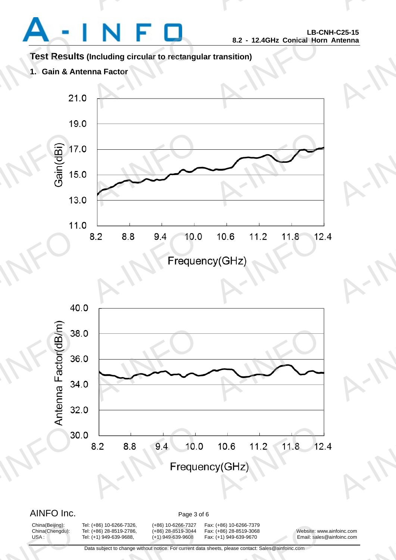A-INFO

A-INFO

A-INFO

A-INFORMATION CONTINUES.

## **Test Results (Including circular to rectangular transition)**

A-INFORMATION CONTINUES.

**1. Gain & Antenna Factor** 





China(Beijing):<br>China(Chengdu):<br>USA :

(+86) 10-6266-7326, (+86) 10-6266-7327<br>
(+86) 28-8519-2786, (+86) 28-8519-3044<br>
(+1) 949-639-9688, (+1) 949-639-9608<br>
ta subject to change without notice. For current da

China(Beijing): Tel: (+86) 10-6266-7326, (+86) 10-6266-7327 Fax: (+86) 10-6266-7379 China(Chengdu): Tel: (+86) 28-8519-2786, (+86) 28-8519-3044 Fax: (+86) 28-8519-3068 Website: www.ainfoinc.com USA : Tel: (+1) 949-639-9688, (+1) 949-639-9608 Fax: (+1) 949-639-9670 Email: sales@ainfoinc.com :: (+86) 10-6266-7379<br>
:: (+86) 28-8519-3068<br>
:: (+1) 949-639-9670 Email: sales<br>
eets, please contact: Sales@ainfoinc.com

Foinc.com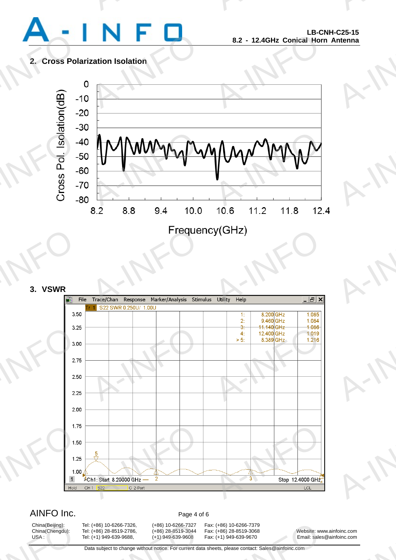

A-INFO

A-INFO

A-INFO

A-INFORMATION CONTINUES.

### **2. Cross Polarization Isolation**



### **3. VSWR**



## AINFO Inc. Page 4 of 6

China(Beijing):<br>China(Chengdu):<br>USA :

(+86) 10-6266-7326, (+86) 10-6266-7327<br>
(+86) 28-8519-2786, (+86) 28-8519-3044<br>
(+1) 949-639-9688, (+1) 949-639-9608<br>
ta subject to change without notice. For current da

China(Beijing): Tel: (+86) 10-6266-7326, (+86) 10-6266-7327 Fax: (+86) 10-6266-7379

:: (+86) 10-6266-7379<br>
:: (+86) 28-8519-3068<br>
:: (+1) 949-639-9670 Email: sales<br>
eets, please contact: Sales@ainfoinc.com

China(Chengdu): Tel: (+86) 28-8519-2786, (+86) 28-8519-3044 Fax: (+86) 28-8519-3068 Website: www.ainfoinc.com USA : Tel: (+1) 949-639-9688, (+1) 949-639-9608 Fax: (+1) 949-639-9670 Email: sales@ainfoinc.com Foinc.com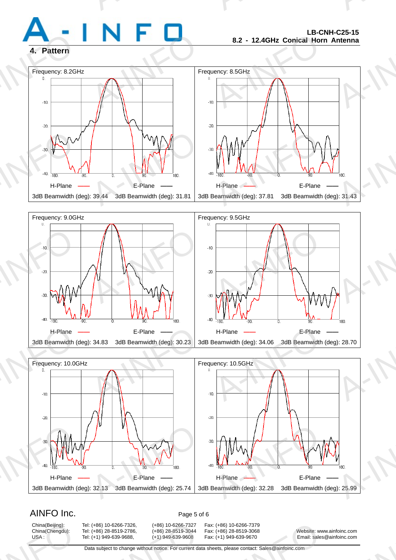

A-INFO

A-INFORMATION CONTINUES.

### **4. Pattern**







## AINFO Inc. Page 5 of 6

China(Beijing):<br>China(Chengdu):<br>USA :

(+86) 10-6266-7326, (+86) 10-6266-7327<br>
(+86) 28-8519-2786, (+86) 28-8519-3044<br>
(+1) 949-639-9688, (+1) 949-639-9608<br>
ta subject to change without notice. For current da

China(Beijing): Tel: (+86) 10-6266-7326, (+86) 10-6266-7327 Fax: (+86) 10-6266-7379

:: (+86) 10-6266-7379<br>
:: (+86) 28-8519-3068<br>
:: (+1) 949-639-9670 Email: sales<br>
eets, please contact: Sales@ainfoinc.com

China(Chengdu): Tel: (+86) 28-8519-2786, (+86) 28-8519-3044 Fax: (+86) 28-8519-3068 Website: www.ainfoinc.com USA : Tel: (+1) 949-639-9688, (+1) 949-639-9608 Fax: (+1) 949-639-9670 Email: sales@ainfoinc.com Foinc.com